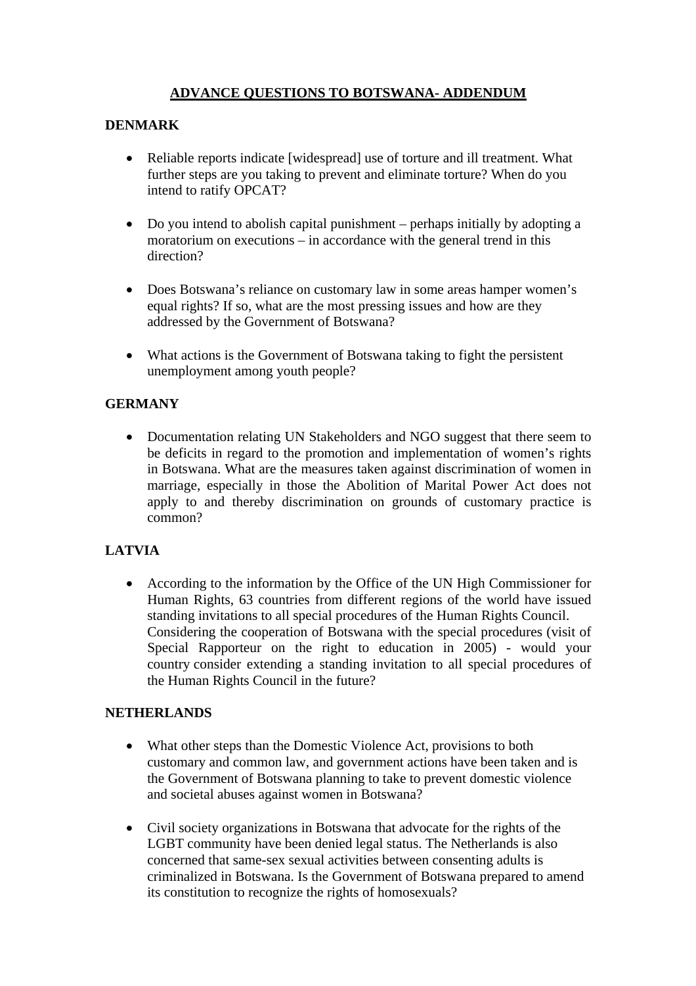# **ADVANCE QUESTIONS TO BOTSWANA- ADDENDUM**

### **DENMARK**

- Reliable reports indicate [widespread] use of torture and ill treatment. What further steps are you taking to prevent and eliminate torture? When do you intend to ratify OPCAT?
- Do you intend to abolish capital punishment perhaps initially by adopting a moratorium on executions – in accordance with the general trend in this direction?
- Does Botswana's reliance on customary law in some areas hamper women's equal rights? If so, what are the most pressing issues and how are they addressed by the Government of Botswana?
- What actions is the Government of Botswana taking to fight the persistent unemployment among youth people?

## **GERMANY**

• Documentation relating UN Stakeholders and NGO suggest that there seem to be deficits in regard to the promotion and implementation of women's rights in Botswana. What are the measures taken against discrimination of women in marriage, especially in those the Abolition of Marital Power Act does not apply to and thereby discrimination on grounds of customary practice is common?

## **LATVIA**

• According to the information by the Office of the UN High Commissioner for Human Rights, 63 countries from different regions of the world have issued standing invitations to all special procedures of the Human Rights Council. Considering the cooperation of Botswana with the special procedures (visit of Special Rapporteur on the right to education in 2005) - would your country consider extending a standing invitation to all special procedures of the Human Rights Council in the future?

#### **NETHERLANDS**

- What other steps than the Domestic Violence Act, provisions to both customary and common law, and government actions have been taken and is the Government of Botswana planning to take to prevent domestic violence and societal abuses against women in Botswana?
- Civil society organizations in Botswana that advocate for the rights of the LGBT community have been denied legal status. The Netherlands is also concerned that same-sex sexual activities between consenting adults is criminalized in Botswana. Is the Government of Botswana prepared to amend its constitution to recognize the rights of homosexuals?